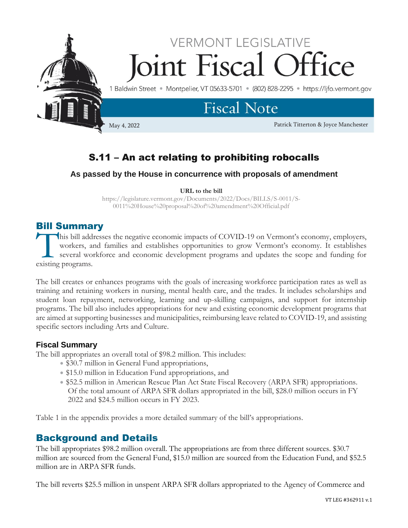

# S.11 – An act relating to prohibiting robocalls

# **As passed by the House in concurrence with proposals of amendment**

#### **URL to the bill**

https://legislature.vermont.gov/Documents/2022/Docs/BILLS/S-0011/S-0011%20House%20proposal%20of%20amendment%20Official.pdf

# Bill Summary

his bill addresses the negative economic impacts of COVID-19 on Vermont's economy, employers, workers, and families and establishes opportunities to grow Vermont's economy. It establishes several workforce and economic development programs and updates the scope and funding for This bill add workers, and workers are existing programs.

The bill creates or enhances programs with the goals of increasing workforce participation rates as well as training and retaining workers in nursing, mental health care, and the trades. It includes scholarships and student loan repayment, networking, learning and up-skilling campaigns, and support for internship programs. The bill also includes appropriations for new and existing economic development programs that are aimed at supporting businesses and municipalities, reimbursing leave related to COVID-19, and assisting specific sectors including Arts and Culture.

# **Fiscal Summary**

The bill appropriates an overall total of \$98.2 million. This includes:

- \$30.7 million in General Fund appropriations,
- \$15.0 million in Education Fund appropriations, and
- \$52.5 million in American Rescue Plan Act State Fiscal Recovery (ARPA SFR) appropriations. Of the total amount of ARPA SFR dollars appropriated in the bill, \$28.0 million occurs in FY 2022 and \$24.5 million occurs in FY 2023.

Table 1 in the appendix provides a more detailed summary of the bill's appropriations.

# Background and Details

The bill appropriates \$98.2 million overall. The appropriations are from three different sources. \$30.7 million are sourced from the General Fund, \$15.0 million are sourced from the Education Fund, and \$52.5 million are in ARPA SFR funds.

The bill reverts \$25.5 million in unspent ARPA SFR dollars appropriated to the Agency of Commerce and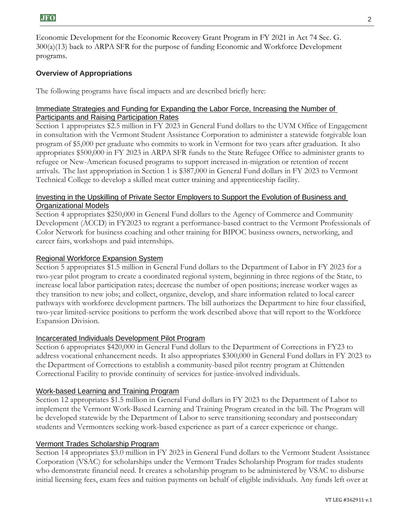Economic Development for the Economic Recovery Grant Program in FY 2021 in Act 74 Sec. G. 300(a)(13) back to ARPA SFR for the purpose of funding Economic and Workforce Development programs.

## **Overview of Appropriations**

The following programs have fiscal impacts and are described briefly here:

## Immediate Strategies and Funding for Expanding the Labor Force, Increasing the Number of Participants and Raising Participation Rates

Section 1 appropriates \$2.5 million in FY 2023 in General Fund dollars to the UVM Office of Engagement in consultation with the Vermont Student Assistance Corporation to administer a statewide forgivable loan program of \$5,000 per graduate who commits to work in Vermont for two years after graduation. It also appropriates \$500,000 in FY 2023 in ARPA SFR funds to the State Refugee Office to administer grants to refugee or New-American focused programs to support increased in-migration or retention of recent arrivals. The last appropriation in Section 1 is \$387,000 in General Fund dollars in FY 2023 to Vermont Technical College to develop a skilled meat cutter training and apprenticeship facility.

#### Investing in the Upskilling of Private Sector Employers to Support the Evolution of Business and Organizational Models

Section 4 appropriates \$250,000 in General Fund dollars to the Agency of Commerce and Community Development (ACCD) in FY2023 to regrant a performance-based contract to the Vermont Professionals of Color Network for business coaching and other training for BIPOC business owners, networking, and career fairs, workshops and paid internships.

#### Regional Workforce Expansion System

Section 5 appropriates \$1.5 million in General Fund dollars to the Department of Labor in FY 2023 for a two-year pilot program to create a coordinated regional system, beginning in three regions of the State, to increase local labor participation rates; decrease the number of open positions; increase worker wages as they transition to new jobs; and collect, organize, develop, and share information related to local career pathways with workforce development partners. The bill authorizes the Department to hire four classified, two-year limited-service positions to perform the work described above that will report to the Workforce Expansion Division.

## Incarcerated Individuals Development Pilot Program

Section 6 appropriates \$420,000 in General Fund dollars to the Department of Corrections in FY23 to address vocational enhancement needs. It also appropriates \$300,000 in General Fund dollars in FY 2023 to the Department of Corrections to establish a community-based pilot reentry program at Chittenden Correctional Facility to provide continuity of services for justice-involved individuals.

## Work-based Learning and Training Program

Section 12 appropriates \$1.5 million in General Fund dollars in FY 2023 to the Department of Labor to implement the Vermont Work-Based Learning and Training Program created in the bill. The Program will be developed statewide by the Department of Labor to serve transitioning secondary and postsecondary students and Vermonters seeking work-based experience as part of a career experience or change.

#### Vermont Trades Scholarship Program

Section 14 appropriates \$3.0 million in FY 2023 in General Fund dollars to the Vermont Student Assistance Corporation (VSAC) for scholarships under the Vermont Trades Scholarship Program for trades students who demonstrate financial need. It creates a scholarship program to be administered by VSAC to disburse initial licensing fees, exam fees and tuition payments on behalf of eligible individuals. Any funds left over at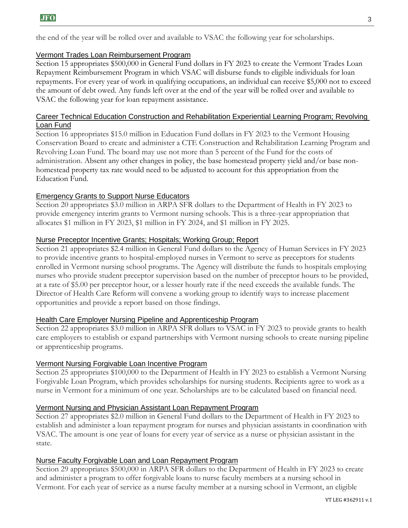the end of the year will be rolled over and available to VSAC the following year for scholarships.

# Vermont Trades Loan Reimbursement Program

Section 15 appropriates \$500,000 in General Fund dollars in FY 2023 to create the Vermont Trades Loan Repayment Reimbursement Program in which VSAC will disburse funds to eligible individuals for loan repayments. For every year of work in qualifying occupations, an individual can receive \$5,000 not to exceed the amount of debt owed. Any funds left over at the end of the year will be rolled over and available to VSAC the following year for loan repayment assistance.

#### Career Technical Education Construction and Rehabilitation Experiential Learning Program; Revolving Loan Fund

Section 16 appropriates \$15.0 million in Education Fund dollars in FY 2023 to the Vermont Housing Conservation Board to create and administer a CTE Construction and Rehabilitation Learning Program and Revolving Loan Fund. The board may use not more than 5 percent of the Fund for the costs of administration. Absent any other changes in policy, the base homestead property yield and/or base nonhomestead property tax rate would need to be adjusted to account for this appropriation from the Education Fund.

# Emergency Grants to Support Nurse Educators

Section 20 appropriates \$3.0 million in ARPA SFR dollars to the Department of Health in FY 2023 to provide emergency interim grants to Vermont nursing schools. This is a three-year appropriation that allocates \$1 million in FY 2023, \$1 million in FY 2024, and \$1 million in FY 2025.

## Nurse Preceptor Incentive Grants; Hospitals; Working Group; Report

Section 21 appropriates \$2.4 million in General Fund dollars to the Agency of Human Services in FY 2023 to provide incentive grants to hospital-employed nurses in Vermont to serve as preceptors for students enrolled in Vermont nursing school programs. The Agency will distribute the funds to hospitals employing nurses who provide student preceptor supervision based on the number of preceptor hours to be provided, at a rate of \$5.00 per preceptor hour, or a lesser hourly rate if the need exceeds the available funds. The Director of Health Care Reform will convene a working group to identify ways to increase placement opportunities and provide a report based on those findings.

## Health Care Employer Nursing Pipeline and Apprenticeship Program

Section 22 appropriates \$3.0 million in ARPA SFR dollars to VSAC in FY 2023 to provide grants to health care employers to establish or expand partnerships with Vermont nursing schools to create nursing pipeline or apprenticeship programs.

## Vermont Nursing Forgivable Loan Incentive Program

Section 25 appropriates \$100,000 to the Department of Health in FY 2023 to establish a Vermont Nursing Forgivable Loan Program, which provides scholarships for nursing students. Recipients agree to work as a nurse in Vermont for a minimum of one year. Scholarships are to be calculated based on financial need.

## Vermont Nursing and Physician Assistant Loan Repayment Program

Section 27 appropriates \$2.0 million in General Fund dollars to the Department of Health in FY 2023 to establish and administer a loan repayment program for nurses and physician assistants in coordination with VSAC. The amount is one year of loans for every year of service as a nurse or physician assistant in the state.

## Nurse Faculty Forgivable Loan and Loan Repayment Program

Section 29 appropriates \$500,000 in ARPA SFR dollars to the Department of Health in FY 2023 to create and administer a program to offer forgivable loans to nurse faculty members at a nursing school in Vermont. For each year of service as a nurse faculty member at a nursing school in Vermont, an eligible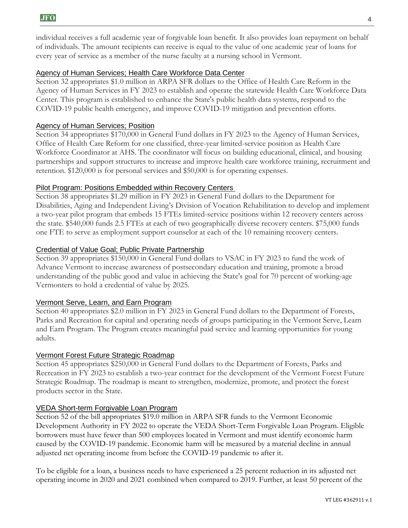individual receives a full academic year of forgivable loan benefit. It also provides loan repayment on behalf of individuals. The amount recipients can receive is equal to the value of one academic year of loans for every year of service as a member of the nurse faculty at a nursing school in Vermont.

#### Agency of Human Services; Health Care Workforce Data Center

Section 32 appropriates \$1.0 million in ARPA SFR dollars to the Office of Health Care Reform in the Agency of Human Services in FY 2023 to establish and operate the statewide Health Care Workforce Data Center. This program is established to enhance the State's public health data systems, respond to the COVID-19 public health emergency, and improve COVID-19 mitigation and prevention efforts.

#### Agency of Human Services; Position

Section 34 appropriates \$170,000 in General Fund dollars in FY 2023 to the Agency of Human Services, Office of Health Care Reform for one classified, three-year limited-service position as Health Care Workforce Coordinator at AHS. The coordinator will focus on building educational, clinical, and housing partnerships and support structures to increase and improve health care workforce training, recruitment and retention. \$120,000 is for personal services and \$50,000 is for operating expenses.

#### Pilot Program: Positions Embedded within Recovery Centers

Section 38 appropriates \$1.29 million in FY 2023 in General Fund dollars to the Department for Disabilities, Aging and Independent Living's Division of Vocation Rehabilitation to develop and implement a two-year pilot program that embeds 15 FTEs limited-service positions within 12 recovery centers across the state. \$540,000 funds 2.5 FTEs at each of two geographically diverse recovery centers. \$75,000 funds one FTE to serve as employment support counselor at each of the 10 remaining recovery centers.

#### Credential of Value Goal; Public Private Partnership

Section 39 appropriates \$150,000 in General Fund dollars to VSAC in FY 2023 to fund the work of Advance Vermont to increase awareness of postsecondary education and training, promote a broad understanding of the public good and value in achieving the State's goal for 70 percent of working-age Vermonters to hold a credential of value by 2025.

#### Vermont Serve, Learn, and Earn Program

Section 40 appropriates \$2.0 million in FY 2023 in General Fund dollars to the Department of Forests, Parks and Recreation for capital and operating needs of groups participating in the Vermont Serve, Learn and Earn Program. The Program creates meaningful paid service and learning opportunities for young adults.

#### Vermont Forest Future Strategic Roadmap

Section 45 appropriates \$250,000 in General Fund dollars to the Department of Forests, Parks and Recreation in FY 2023 to establish a two-year contract for the development of the Vermont Forest Future Strategic Roadmap. The roadmap is meant to strengthen, modernize, promote, and protect the forest products sector in the State.

#### VEDA Short-term Forgivable Loan Program

Section 52 of the bill appropriates \$19.0 million in ARPA SFR funds to the Vermont Economic Development Authority in FY 2022 to operate the VEDA Short-Term Forgivable Loan Program. Eligible borrowers must have fewer than 500 employees located in Vermont and must identify economic harm caused by the COVID-19 pandemic. Economic harm will be measured by a material decline in annual adjusted net operating income from before the COVID-19 pandemic to after it.

To be eligible for a loan, a business needs to have experienced a 25 percent reduction in its adjusted net operating income in 2020 and 2021 combined when compared to 2019. Further, at least 50 percent of the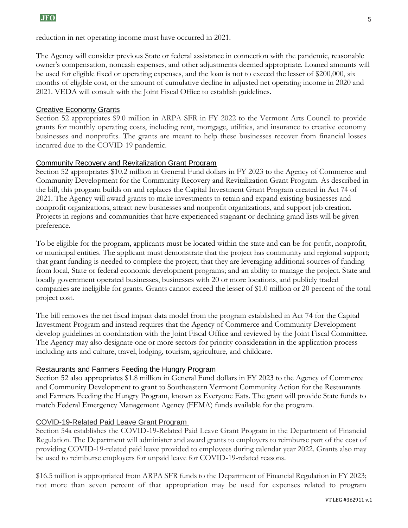reduction in net operating income must have occurred in 2021.

The Agency will consider previous State or federal assistance in connection with the pandemic, reasonable owner's compensation, noncash expenses, and other adjustments deemed appropriate. Loaned amounts will be used for eligible fixed or operating expenses, and the loan is not to exceed the lesser of \$200,000, six months of eligible cost, or the amount of cumulative decline in adjusted net operating income in 2020 and 2021. VEDA will consult with the Joint Fiscal Office to establish guidelines.

## Creative Economy Grants

Section 52 appropriates \$9.0 million in ARPA SFR in FY 2022 to the Vermont Arts Council to provide grants for monthly operating costs, including rent, mortgage, utilities, and insurance to creative economy businesses and nonprofits. The grants are meant to help these businesses recover from financial losses incurred due to the COVID-19 pandemic.

# Community Recovery and Revitalization Grant Program

Section 52 appropriates \$10.2 million in General Fund dollars in FY 2023 to the Agency of Commerce and Community Development for the Community Recovery and Revitalization Grant Program. As described in the bill, this program builds on and replaces the Capital Investment Grant Program created in Act 74 of 2021. The Agency will award grants to make investments to retain and expand existing businesses and nonprofit organizations, attract new businesses and nonprofit organizations, and support job creation. Projects in regions and communities that have experienced stagnant or declining grand lists will be given preference.

To be eligible for the program, applicants must be located within the state and can be for-profit, nonprofit, or municipal entities. The applicant must demonstrate that the project has community and regional support; that grant funding is needed to complete the project; that they are leveraging additional sources of funding from local, State or federal economic development programs; and an ability to manage the project. State and locally government operated businesses, businesses with 20 or more locations, and publicly traded companies are ineligible for grants. Grants cannot exceed the lesser of \$1.0 million or 20 percent of the total project cost.

The bill removes the net fiscal impact data model from the program established in Act 74 for the Capital Investment Program and instead requires that the Agency of Commerce and Community Development develop guidelines in coordination with the Joint Fiscal Office and reviewed by the Joint Fiscal Committee. The Agency may also designate one or more sectors for priority consideration in the application process including arts and culture, travel, lodging, tourism, agriculture, and childcare.

## Restaurants and Farmers Feeding the Hungry Program

Section 52 also appropriates \$1.8 million in General Fund dollars in FY 2023 to the Agency of Commerce and Community Development to grant to Southeastern Vermont Community Action for the Restaurants and Farmers Feeding the Hungry Program, known as Everyone Eats. The grant will provide State funds to match Federal Emergency Management Agency (FEMA) funds available for the program.

## COVID-19-Related Paid Leave Grant Program

Section 54a establishes the COVID-19-Related Paid Leave Grant Program in the Department of Financial Regulation. The Department will administer and award grants to employers to reimburse part of the cost of providing COVID-19-related paid leave provided to employees during calendar year 2022. Grants also may be used to reimburse employers for unpaid leave for COVID-19-related reasons.

\$16.5 million is appropriated from ARPA SFR funds to the Department of Financial Regulation in FY 2023; not more than seven percent of that appropriation may be used for expenses related to program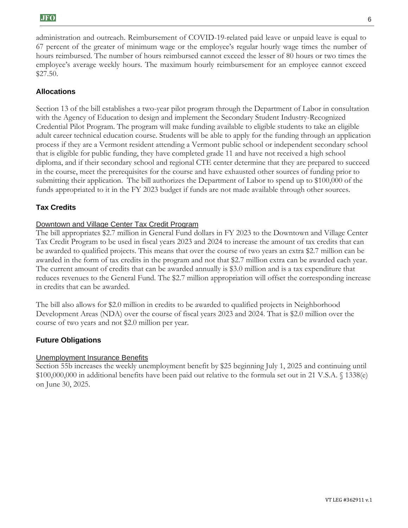administration and outreach. Reimbursement of COVID-19-related paid leave or unpaid leave is equal to 67 percent of the greater of minimum wage or the employee's regular hourly wage times the number of hours reimbursed. The number of hours reimbursed cannot exceed the lesser of 80 hours or two times the employee's average weekly hours. The maximum hourly reimbursement for an employee cannot exceed \$27.50.

## **Allocations**

Section 13 of the bill establishes a two-year pilot program through the Department of Labor in consultation with the Agency of Education to design and implement the Secondary Student Industry-Recognized Credential Pilot Program. The program will make funding available to eligible students to take an eligible adult career technical education course. Students will be able to apply for the funding through an application process if they are a Vermont resident attending a Vermont public school or independent secondary school that is eligible for public funding, they have completed grade 11 and have not received a high school diploma, and if their secondary school and regional CTE center determine that they are prepared to succeed in the course, meet the prerequisites for the course and have exhausted other sources of funding prior to submitting their application. The bill authorizes the Department of Labor to spend up to \$100,000 of the funds appropriated to it in the FY 2023 budget if funds are not made available through other sources.

#### **Tax Credits**

#### Downtown and Village Center Tax Credit Program

The bill appropriates \$2.7 million in General Fund dollars in FY 2023 to the Downtown and Village Center Tax Credit Program to be used in fiscal years 2023 and 2024 to increase the amount of tax credits that can be awarded to qualified projects. This means that over the course of two years an extra \$2.7 million can be awarded in the form of tax credits in the program and not that \$2.7 million extra can be awarded each year. The current amount of credits that can be awarded annually is \$3.0 million and is a tax expenditure that reduces revenues to the General Fund. The \$2.7 million appropriation will offset the corresponding increase in credits that can be awarded.

The bill also allows for \$2.0 million in credits to be awarded to qualified projects in Neighborhood Development Areas (NDA) over the course of fiscal years 2023 and 2024. That is \$2.0 million over the course of two years and not \$2.0 million per year.

#### **Future Obligations**

#### Unemployment Insurance Benefits

Section 55b increases the weekly unemployment benefit by \$25 beginning July 1, 2025 and continuing until \$100,000,000 in additional benefits have been paid out relative to the formula set out in 21 V.S.A. § 1338(e) on June 30, 2025.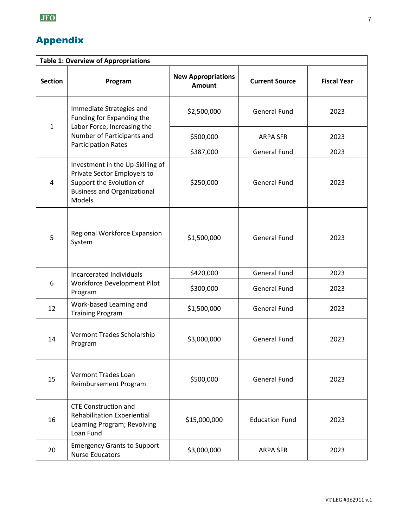# Appendix

| <b>Table 1: Overview of Appropriations</b> |                                                                                                                                                    |                                            |                       |                    |  |  |  |
|--------------------------------------------|----------------------------------------------------------------------------------------------------------------------------------------------------|--------------------------------------------|-----------------------|--------------------|--|--|--|
| <b>Section</b>                             | Program                                                                                                                                            | <b>New Appropriations</b><br><b>Amount</b> | <b>Current Source</b> | <b>Fiscal Year</b> |  |  |  |
| $\mathbf{1}$                               | Immediate Strategies and<br>Funding for Expanding the<br>Labor Force; Increasing the<br>Number of Participants and<br><b>Participation Rates</b>   | \$2,500,000                                | <b>General Fund</b>   | 2023               |  |  |  |
|                                            |                                                                                                                                                    | \$500,000                                  | <b>ARPA SFR</b>       | 2023               |  |  |  |
|                                            |                                                                                                                                                    | \$387,000                                  | <b>General Fund</b>   | 2023               |  |  |  |
| 4                                          | Investment in the Up-Skilling of<br>Private Sector Employers to<br>Support the Evolution of<br><b>Business and Organizational</b><br><b>Models</b> | \$250,000                                  | <b>General Fund</b>   | 2023               |  |  |  |
| 5                                          | Regional Workforce Expansion<br>System                                                                                                             | \$1,500,000                                | <b>General Fund</b>   | 2023               |  |  |  |
| 6                                          | Incarcerated Individuals<br>Workforce Development Pilot<br>Program                                                                                 | \$420,000                                  | <b>General Fund</b>   | 2023               |  |  |  |
|                                            |                                                                                                                                                    | \$300,000                                  | <b>General Fund</b>   | 2023               |  |  |  |
| 12                                         | Work-based Learning and<br><b>Training Program</b>                                                                                                 | \$1,500,000                                | <b>General Fund</b>   | 2023               |  |  |  |
| 14                                         | Vermont Trades Scholarship<br>Program                                                                                                              | \$3,000,000                                | <b>General Fund</b>   | 2023               |  |  |  |
| 15                                         | Vermont Trades Loan<br>Reimbursement Program                                                                                                       | \$500,000                                  | <b>General Fund</b>   | 2023               |  |  |  |
| 16                                         | <b>CTE Construction and</b><br><b>Rehabilitation Experiential</b><br>Learning Program; Revolving<br>Loan Fund                                      | \$15,000,000                               | <b>Education Fund</b> | 2023               |  |  |  |
| 20                                         | <b>Emergency Grants to Support</b><br><b>Nurse Educators</b>                                                                                       | \$3,000,000                                | <b>ARPA SFR</b>       | 2023               |  |  |  |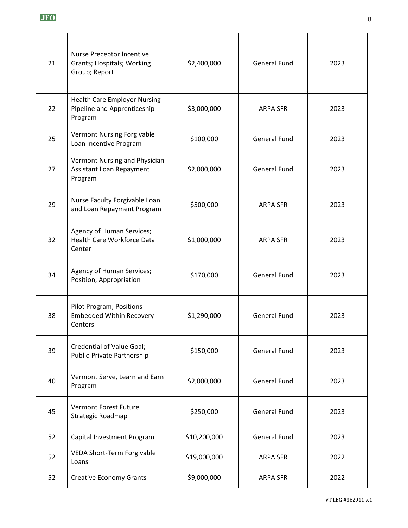| 21 | Nurse Preceptor Incentive<br>Grants; Hospitals; Working<br>Group; Report      | \$2,400,000  | <b>General Fund</b> | 2023 |
|----|-------------------------------------------------------------------------------|--------------|---------------------|------|
| 22 | <b>Health Care Employer Nursing</b><br>Pipeline and Apprenticeship<br>Program | \$3,000,000  | <b>ARPA SFR</b>     | 2023 |
| 25 | <b>Vermont Nursing Forgivable</b><br>Loan Incentive Program                   | \$100,000    | <b>General Fund</b> | 2023 |
| 27 | Vermont Nursing and Physician<br><b>Assistant Loan Repayment</b><br>Program   | \$2,000,000  | <b>General Fund</b> | 2023 |
| 29 | Nurse Faculty Forgivable Loan<br>and Loan Repayment Program                   | \$500,000    | <b>ARPA SFR</b>     | 2023 |
| 32 | Agency of Human Services;<br><b>Health Care Workforce Data</b><br>Center      | \$1,000,000  | <b>ARPA SFR</b>     | 2023 |
| 34 | Agency of Human Services;<br>Position; Appropriation                          | \$170,000    | <b>General Fund</b> | 2023 |
| 38 | <b>Pilot Program; Positions</b><br><b>Embedded Within Recovery</b><br>Centers | \$1,290,000  | <b>General Fund</b> | 2023 |
| 39 | Credential of Value Goal;<br>Public-Private Partnership                       | \$150,000    | <b>General Fund</b> | 2023 |
| 40 | Vermont Serve, Learn and Earn<br>Program                                      | \$2,000,000  | <b>General Fund</b> | 2023 |
| 45 | Vermont Forest Future<br>Strategic Roadmap                                    | \$250,000    | <b>General Fund</b> | 2023 |
| 52 | Capital Investment Program                                                    | \$10,200,000 | <b>General Fund</b> | 2023 |
| 52 | VEDA Short-Term Forgivable<br>Loans                                           | \$19,000,000 | <b>ARPA SFR</b>     | 2022 |
| 52 | <b>Creative Economy Grants</b>                                                | \$9,000,000  | <b>ARPA SFR</b>     | 2022 |